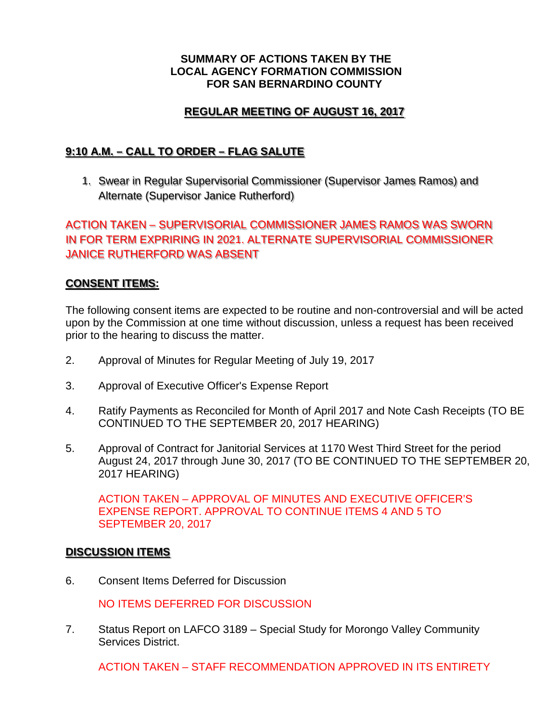#### **SUMMARY OF ACTIONS TAKEN BY THE LOCAL AGENCY FORMATION COMMISSION FOR SAN BERNARDINO COUNTY**

## **REGULAR MEETING OF AUGUST 16, 2017**

## **9:10 A.M. – CALL TO ORDER – FLAG SALUTE**

1. Swear in Regular Supervisorial Commissioner (Supervisor James Ramos) and Alternate (Supervisor Janice Rutherford)

# ACTION TAKEN – SUPERVISORIAL COMMISSIONER JAMES RAMOS WAS SWORN IN FOR TERM EXPRIRING IN 2021. ALTERNATE SUPERVISORIAL COMMISSIONER JANICE RUTHERFORD WAS ABSENT

### **CONSENT ITEMS:**

The following consent items are expected to be routine and non-controversial and will be acted upon by the Commission at one time without discussion, unless a request has been received prior to the hearing to discuss the matter.

- 2. Approval of Minutes for Regular Meeting of July 19, 2017
- 3. Approval of Executive Officer's Expense Report
- 4. Ratify Payments as Reconciled for Month of April 2017 and Note Cash Receipts (TO BE CONTINUED TO THE SEPTEMBER 20, 2017 HEARING)
- 5. Approval of Contract for Janitorial Services at 1170 West Third Street for the period August 24, 2017 through June 30, 2017 (TO BE CONTINUED TO THE SEPTEMBER 20, 2017 HEARING)

ACTION TAKEN – APPROVAL OF MINUTES AND EXECUTIVE OFFICER'S EXPENSE REPORT. APPROVAL TO CONTINUE ITEMS 4 AND 5 TO SEPTEMBER 20, 2017

#### **DISCUSSION ITEMS**

6. Consent Items Deferred for Discussion

NO ITEMS DEFERRED FOR DISCUSSION

7. Status Report on LAFCO 3189 – Special Study for Morongo Valley Community Services District.

ACTION TAKEN – STAFF RECOMMENDATION APPROVED IN ITS ENTIRETY